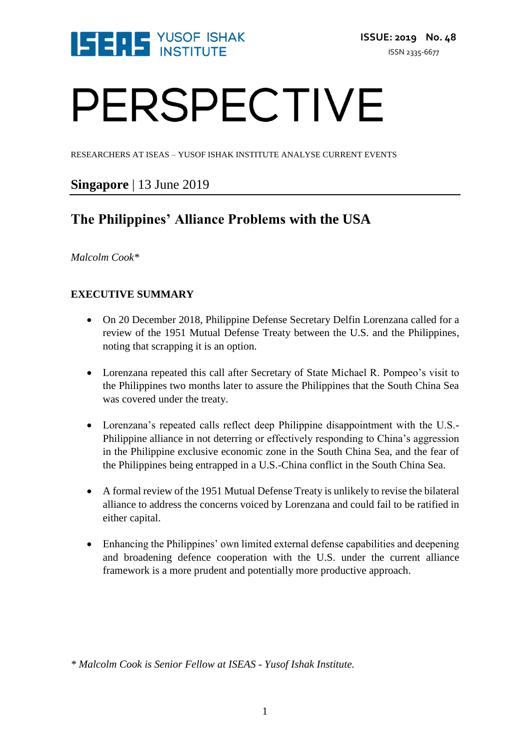

# PERSPECTIVE

RESEARCHERS AT ISEAS – YUSOF ISHAK INSTITUTE ANALYSE CURRENT EVENTS

### **Singapore** | 13 June 2019

## **The Philippines' Alliance Problems with the USA**

*Malcolm Cook\**

#### **EXECUTIVE SUMMARY**

- On 20 December 2018, Philippine Defense Secretary Delfin Lorenzana called for a review of the 1951 Mutual Defense Treaty between the U.S. and the Philippines, noting that scrapping it is an option.
- Lorenzana repeated this call after Secretary of State Michael R. Pompeo's visit to the Philippines two months later to assure the Philippines that the South China Sea was covered under the treaty.
- Lorenzana's repeated calls reflect deep Philippine disappointment with the U.S.- Philippine alliance in not deterring or effectively responding to China's aggression in the Philippine exclusive economic zone in the South China Sea, and the fear of the Philippines being entrapped in a U.S.-China conflict in the South China Sea.
- A formal review of the 1951 Mutual Defense Treaty is unlikely to revise the bilateral alliance to address the concerns voiced by Lorenzana and could fail to be ratified in either capital.
- Enhancing the Philippines' own limited external defense capabilities and deepening and broadening defence cooperation with the U.S. under the current alliance framework is a more prudent and potentially more productive approach.

*\* Malcolm Cook is Senior Fellow at ISEAS - Yusof Ishak Institute.*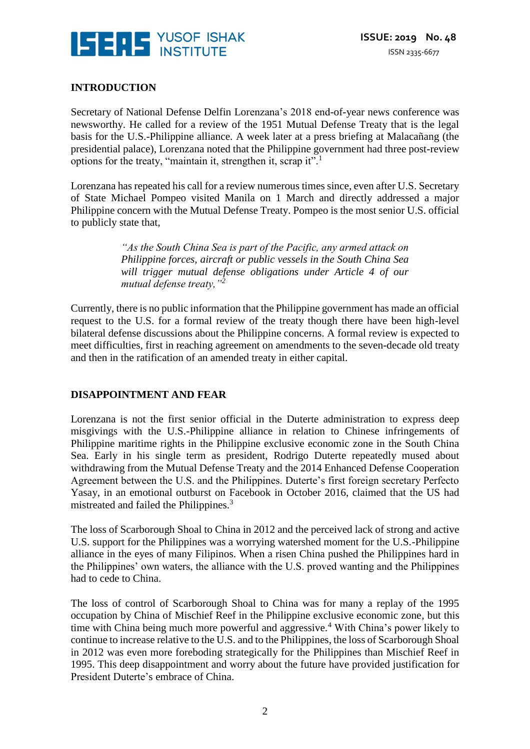

#### **INTRODUCTION**

Secretary of National Defense Delfin Lorenzana's 2018 end-of-year news conference was newsworthy. He called for a review of the 1951 Mutual Defense Treaty that is the legal basis for the U.S.-Philippine alliance. A week later at a press briefing at Malacañang (the presidential palace), Lorenzana noted that the Philippine government had three post-review options for the treaty, "maintain it, strengthen it, scrap it".<sup>1</sup>

Lorenzana has repeated his call for a review numerous times since, even after U.S. Secretary of State Michael Pompeo visited Manila on 1 March and directly addressed a major Philippine concern with the Mutual Defense Treaty. Pompeo is the most senior U.S. official to publicly state that,

> *"As the South China Sea is part of the Pacific, any armed attack on Philippine forces, aircraft or public vessels in the South China Sea will trigger mutual defense obligations under Article 4 of our mutual defense treaty,"<sup>2</sup>*

Currently, there is no public information that the Philippine government has made an official request to the U.S. for a formal review of the treaty though there have been high-level bilateral defense discussions about the Philippine concerns. A formal review is expected to meet difficulties, first in reaching agreement on amendments to the seven-decade old treaty and then in the ratification of an amended treaty in either capital.

#### **DISAPPOINTMENT AND FEAR**

Lorenzana is not the first senior official in the Duterte administration to express deep misgivings with the U.S.-Philippine alliance in relation to Chinese infringements of Philippine maritime rights in the Philippine exclusive economic zone in the South China Sea. Early in his single term as president, Rodrigo Duterte repeatedly mused about withdrawing from the Mutual Defense Treaty and the 2014 Enhanced Defense Cooperation Agreement between the U.S. and the Philippines. Duterte's first foreign secretary Perfecto Yasay, in an emotional outburst on Facebook in October 2016, claimed that the US had mistreated and failed the Philippines.<sup>3</sup>

The loss of Scarborough Shoal to China in 2012 and the perceived lack of strong and active U.S. support for the Philippines was a worrying watershed moment for the U.S.-Philippine alliance in the eyes of many Filipinos. When a risen China pushed the Philippines hard in the Philippines' own waters, the alliance with the U.S. proved wanting and the Philippines had to cede to China.

The loss of control of Scarborough Shoal to China was for many a replay of the 1995 occupation by China of Mischief Reef in the Philippine exclusive economic zone, but this time with China being much more powerful and aggressive.<sup>4</sup> With China's power likely to continue to increase relative to the U.S. and to the Philippines, the loss of Scarborough Shoal in 2012 was even more foreboding strategically for the Philippines than Mischief Reef in 1995. This deep disappointment and worry about the future have provided justification for President Duterte's embrace of China.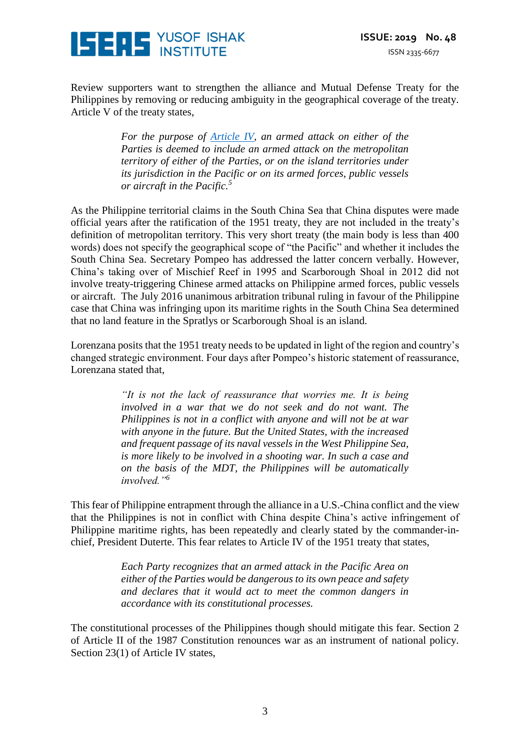

Review supporters want to strengthen the alliance and Mutual Defense Treaty for the Philippines by removing or reducing ambiguity in the geographical coverage of the treaty. Article V of the treaty states,

> *For the purpose of [Article IV,](http://avalon.law.yale.edu/20th_century/phil001.asp#art4) an armed attack on either of the Parties is deemed to include an armed attack on the metropolitan territory of either of the Parties, or on the island territories under its jurisdiction in the Pacific or on its armed forces, public vessels or aircraft in the Pacific.<sup>5</sup>*

As the Philippine territorial claims in the South China Sea that China disputes were made official years after the ratification of the 1951 treaty, they are not included in the treaty's definition of metropolitan territory. This very short treaty (the main body is less than 400 words) does not specify the geographical scope of "the Pacific" and whether it includes the South China Sea. Secretary Pompeo has addressed the latter concern verbally. However, China's taking over of Mischief Reef in 1995 and Scarborough Shoal in 2012 did not involve treaty-triggering Chinese armed attacks on Philippine armed forces, public vessels or aircraft. The July 2016 unanimous arbitration tribunal ruling in favour of the Philippine case that China was infringing upon its maritime rights in the South China Sea determined that no land feature in the Spratlys or Scarborough Shoal is an island.

Lorenzana posits that the 1951 treaty needs to be updated in light of the region and country's changed strategic environment. Four days after Pompeo's historic statement of reassurance, Lorenzana stated that,

> *"It is not the lack of reassurance that worries me. It is being involved in a war that we do not seek and do not want. The Philippines is not in a conflict with anyone and will not be at war with anyone in the future. But the United States, with the increased and frequent passage of its naval vessels in the West Philippine Sea, is more likely to be involved in a shooting war. In such a case and on the basis of the MDT, the Philippines will be automatically involved."<sup>6</sup>*

This fear of Philippine entrapment through the alliance in a U.S.-China conflict and the view that the Philippines is not in conflict with China despite China's active infringement of Philippine maritime rights, has been repeatedly and clearly stated by the commander-inchief, President Duterte. This fear relates to Article IV of the 1951 treaty that states,

> *Each Party recognizes that an armed attack in the Pacific Area on either of the Parties would be dangerous to its own peace and safety and declares that it would act to meet the common dangers in accordance with its constitutional processes.*

The constitutional processes of the Philippines though should mitigate this fear. Section 2 of Article II of the 1987 Constitution renounces war as an instrument of national policy. Section 23(1) of Article IV states,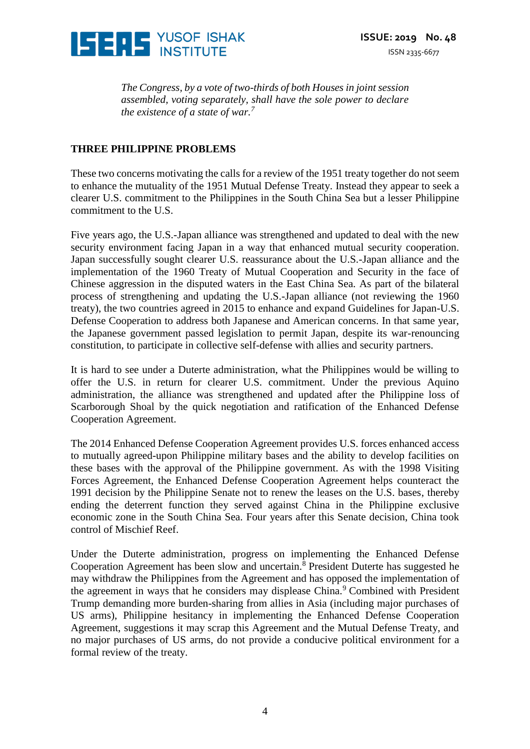

*The Congress, by a vote of two-thirds of both Houses in joint session assembled, voting separately, shall have the sole power to declare the existence of a state of war.<sup>7</sup>*

#### **THREE PHILIPPINE PROBLEMS**

These two concerns motivating the calls for a review of the 1951 treaty together do not seem to enhance the mutuality of the 1951 Mutual Defense Treaty. Instead they appear to seek a clearer U.S. commitment to the Philippines in the South China Sea but a lesser Philippine commitment to the U.S.

Five years ago, the U.S.-Japan alliance was strengthened and updated to deal with the new security environment facing Japan in a way that enhanced mutual security cooperation. Japan successfully sought clearer U.S. reassurance about the U.S.-Japan alliance and the implementation of the 1960 Treaty of Mutual Cooperation and Security in the face of Chinese aggression in the disputed waters in the East China Sea. As part of the bilateral process of strengthening and updating the U.S.-Japan alliance (not reviewing the 1960 treaty), the two countries agreed in 2015 to enhance and expand Guidelines for Japan-U.S. Defense Cooperation to address both Japanese and American concerns. In that same year, the Japanese government passed legislation to permit Japan, despite its war-renouncing constitution, to participate in collective self-defense with allies and security partners.

It is hard to see under a Duterte administration, what the Philippines would be willing to offer the U.S. in return for clearer U.S. commitment. Under the previous Aquino administration, the alliance was strengthened and updated after the Philippine loss of Scarborough Shoal by the quick negotiation and ratification of the Enhanced Defense Cooperation Agreement.

The 2014 Enhanced Defense Cooperation Agreement provides U.S. forces enhanced access to mutually agreed-upon Philippine military bases and the ability to develop facilities on these bases with the approval of the Philippine government. As with the 1998 Visiting Forces Agreement, the Enhanced Defense Cooperation Agreement helps counteract the 1991 decision by the Philippine Senate not to renew the leases on the U.S. bases, thereby ending the deterrent function they served against China in the Philippine exclusive economic zone in the South China Sea. Four years after this Senate decision, China took control of Mischief Reef.

Under the Duterte administration, progress on implementing the Enhanced Defense Cooperation Agreement has been slow and uncertain.<sup>8</sup> President Duterte has suggested he may withdraw the Philippines from the Agreement and has opposed the implementation of the agreement in ways that he considers may displease China.<sup>9</sup> Combined with President Trump demanding more burden-sharing from allies in Asia (including major purchases of US arms), Philippine hesitancy in implementing the Enhanced Defense Cooperation Agreement, suggestions it may scrap this Agreement and the Mutual Defense Treaty, and no major purchases of US arms, do not provide a conducive political environment for a formal review of the treaty.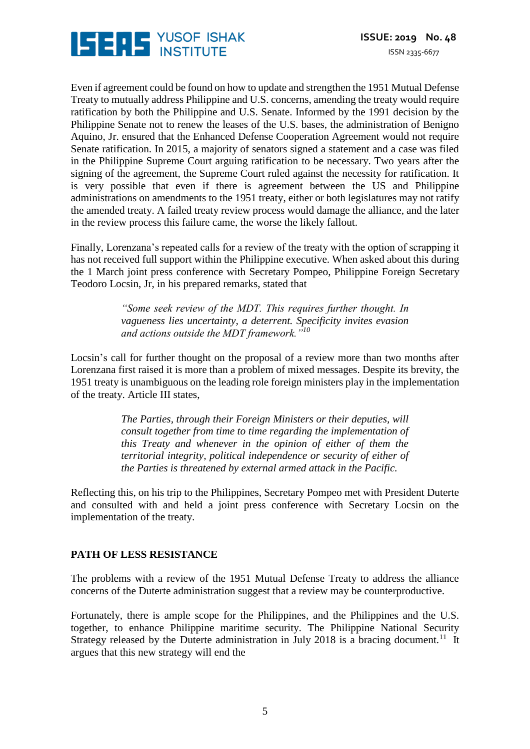

Even if agreement could be found on how to update and strengthen the 1951 Mutual Defense Treaty to mutually address Philippine and U.S. concerns, amending the treaty would require ratification by both the Philippine and U.S. Senate. Informed by the 1991 decision by the Philippine Senate not to renew the leases of the U.S. bases, the administration of Benigno Aquino, Jr. ensured that the Enhanced Defense Cooperation Agreement would not require Senate ratification. In 2015, a majority of senators signed a statement and a case was filed in the Philippine Supreme Court arguing ratification to be necessary. Two years after the signing of the agreement, the Supreme Court ruled against the necessity for ratification. It is very possible that even if there is agreement between the US and Philippine administrations on amendments to the 1951 treaty, either or both legislatures may not ratify the amended treaty. A failed treaty review process would damage the alliance, and the later in the review process this failure came, the worse the likely fallout.

Finally, Lorenzana's repeated calls for a review of the treaty with the option of scrapping it has not received full support within the Philippine executive. When asked about this during the 1 March joint press conference with Secretary Pompeo, Philippine Foreign Secretary Teodoro Locsin, Jr, in his prepared remarks, stated that

> *"Some seek review of the MDT. This requires further thought. In vagueness lies uncertainty, a deterrent. Specificity invites evasion and actions outside the MDT framework."<sup>10</sup>*

Locsin's call for further thought on the proposal of a review more than two months after Lorenzana first raised it is more than a problem of mixed messages. Despite its brevity, the 1951 treaty is unambiguous on the leading role foreign ministers play in the implementation of the treaty. Article III states,

> *The Parties, through their Foreign Ministers or their deputies, will consult together from time to time regarding the implementation of this Treaty and whenever in the opinion of either of them the territorial integrity, political independence or security of either of the Parties is threatened by external armed attack in the Pacific.*

Reflecting this, on his trip to the Philippines, Secretary Pompeo met with President Duterte and consulted with and held a joint press conference with Secretary Locsin on the implementation of the treaty.

#### **PATH OF LESS RESISTANCE**

The problems with a review of the 1951 Mutual Defense Treaty to address the alliance concerns of the Duterte administration suggest that a review may be counterproductive.

Fortunately, there is ample scope for the Philippines, and the Philippines and the U.S. together, to enhance Philippine maritime security. The Philippine National Security Strategy released by the Duterte administration in July 2018 is a bracing document.<sup>11</sup> It argues that this new strategy will end the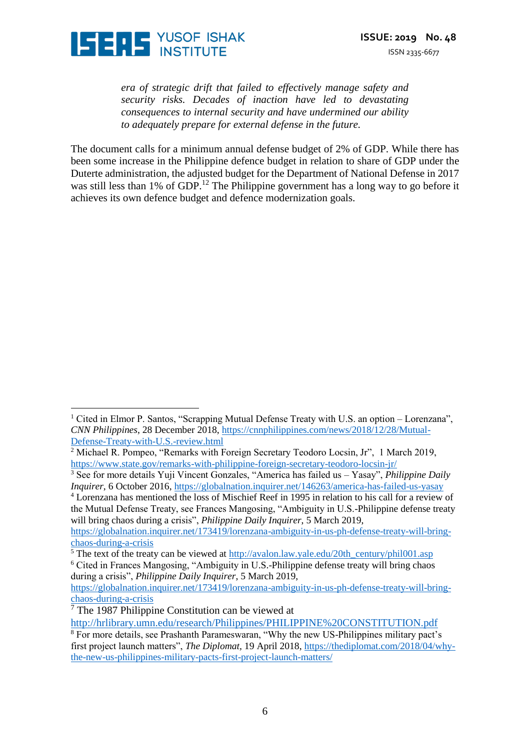

*era of strategic drift that failed to effectively manage safety and security risks. Decades of inaction have led to devastating consequences to internal security and have undermined our ability to adequately prepare for external defense in the future.* 

The document calls for a minimum annual defense budget of 2% of GDP. While there has been some increase in the Philippine defence budget in relation to share of GDP under the Duterte administration, the adjusted budget for the Department of National Defense in 2017 was still less than 1% of GDP.<sup>12</sup> The Philippine government has a long way to go before it achieves its own defence budget and defence modernization goals.

during a crisis", *Philippine Daily Inquirer*, 5 March 2019,

 $\overline{a}$ 

<sup>1</sup> Cited in Elmor P. Santos, "Scrapping Mutual Defense Treaty with U.S. an option – Lorenzana", *CNN Philippines*, 28 December 2018, [https://cnnphilippines.com/news/2018/12/28/Mutual-](https://cnnphilippines.com/news/2018/12/28/Mutual-Defense-Treaty-with-U.S.-review.html)[Defense-Treaty-with-U.S.-review.html](https://cnnphilippines.com/news/2018/12/28/Mutual-Defense-Treaty-with-U.S.-review.html)

<sup>&</sup>lt;sup>2</sup> Michael R. Pompeo, "Remarks with Foreign Secretary Teodoro Locsin, Jr", 1 March 2019, <https://www.state.gov/remarks-with-philippine-foreign-secretary-teodoro-locsin-jr/>

<sup>3</sup> See for more details Yuji Vincent Gonzales, "America has failed us – Yasay", *Philippine Daily Inquirer*, 6 October 2016,<https://globalnation.inquirer.net/146263/america-has-failed-us-yasay>

<sup>4</sup> Lorenzana has mentioned the loss of Mischief Reef in 1995 in relation to his call for a review of the Mutual Defense Treaty, see Frances Mangosing, "Ambiguity in U.S.-Philippine defense treaty will bring chaos during a crisis", *Philippine Daily Inquirer*, 5 March 2019,

[https://globalnation.inquirer.net/173419/lorenzana-ambiguity-in-us-ph-defense-treaty-will-bring](https://globalnation.inquirer.net/173419/lorenzana-ambiguity-in-us-ph-defense-treaty-will-bring-chaos-during-a-crisis)[chaos-during-a-crisis](https://globalnation.inquirer.net/173419/lorenzana-ambiguity-in-us-ph-defense-treaty-will-bring-chaos-during-a-crisis)

<sup>&</sup>lt;sup>5</sup> The text of the treaty can be viewed at  $\frac{http://avalon.law.yale.edu/20th_century/phil001.asp}{}$ <sup>6</sup> Cited in Frances Mangosing, "Ambiguity in U.S.-Philippine defense treaty will bring chaos

[https://globalnation.inquirer.net/173419/lorenzana-ambiguity-in-us-ph-defense-treaty-will-bring](https://globalnation.inquirer.net/173419/lorenzana-ambiguity-in-us-ph-defense-treaty-will-bring-chaos-during-a-crisis)[chaos-during-a-crisis](https://globalnation.inquirer.net/173419/lorenzana-ambiguity-in-us-ph-defense-treaty-will-bring-chaos-during-a-crisis)

 $<sup>7</sup>$  The 1987 Philippine Constitution can be viewed at</sup>

<http://hrlibrary.umn.edu/research/Philippines/PHILIPPINE%20CONSTITUTION.pdf>

<sup>8</sup> For more details, see Prashanth Parameswaran, "Why the new US-Philippines military pact's first project launch matters", *The Diplomat,* 19 April 2018, [https://thediplomat.com/2018/04/why](https://thediplomat.com/2018/04/why-the-new-us-philippines-military-pacts-first-project-launch-matters/)[the-new-us-philippines-military-pacts-first-project-launch-matters/](https://thediplomat.com/2018/04/why-the-new-us-philippines-military-pacts-first-project-launch-matters/)